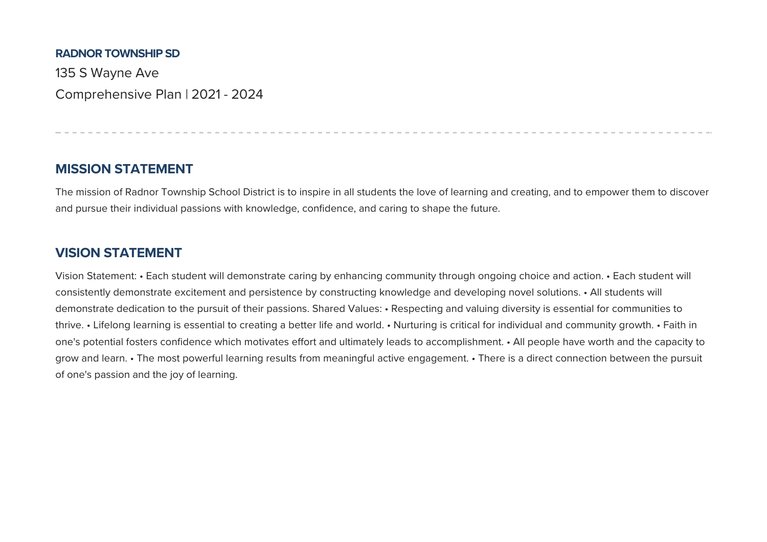#### **RADNOR TOWNSHIP SD**

135 S Wayne Ave Comprehensive Plan | 2021 - 2024

# **MISSION STATEMENT**

The mission of Radnor Township School District is to inspire in all students the love of learning and creating, and to empower them to discover and pursue their individual passions with knowledge, confidence, and caring to shape the future.

## **VISION STATEMENT**

Vision Statement: • Each student will demonstrate caring by enhancing community through ongoing choice and action. • Each student will consistently demonstrate excitement and persistence by constructing knowledge and developing novel solutions. • All students will demonstrate dedication to the pursuit of their passions. Shared Values: • Respecting and valuing diversity is essential for communities to thrive. • Lifelong learning is essential to creating a better life and world. • Nurturing is critical for individual and community growth. • Faith in one's potential fosters confidence which motivates effort and ultimately leads to accomplishment. • All people have worth and the capacity to grow and learn. • The most powerful learning results from meaningful active engagement. • There is a direct connection etween the pursuit of one's passion and the joy of learning.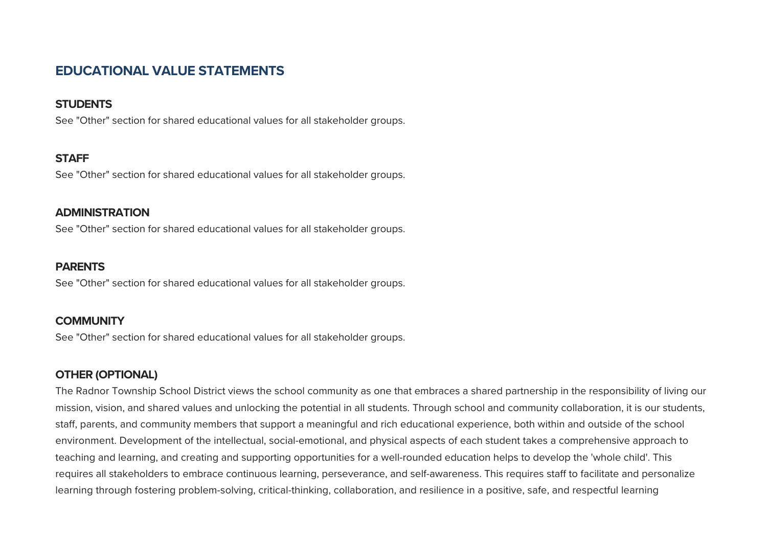# **EDUCATIONAL VALUE STATEMENTS**

### **STUDENTS**

See "Other" section for shared educational values for all stakeholder groups.

### **STAFF**

See "Other" section for shared educational values for all stakeholder groups.

#### **ADMINISTRATION**

See "Other" section for shared educational values for all stakeholder groups.

### **PARENTS**

See "Other" section for shared educational values for all stakeholder groups.

### **COMMUNITY**

See "Other" section for shared educational values for all stakeholder groups.

### **OTHER (OPTIONAL)**

The Radnor Township School District views the school community as one that embraces a shared partnership in the responsibility of living our mission, vision, and shared values and unlocking the potential in all students. Through school and community collaboration, it is our students, staff, parents, and community members that support a meaningful and rich educational experience, both within and outside of the school environment. Development of the intellectual, social-emotional, and physical aspects of each student takes a comprehensive approach to teaching and learning, and creating and supporting opportunities for a well-rounded education helps to develop the 'whole child'. This requires all stakeholders to embrace continuous learning, perseverance, and self-awareness. This requires staff to facilitate and personalize learning through fostering problem-solving, critical-thinking, collaboration, and resilience in a positive, safe, and respectful learning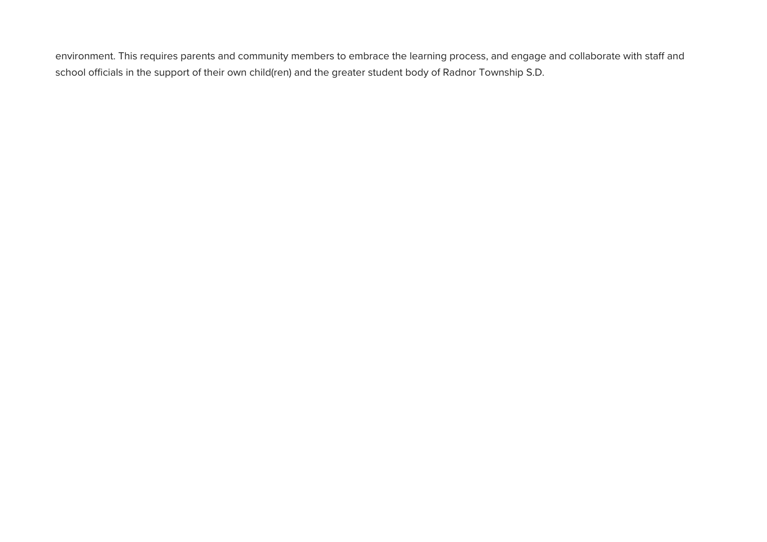environment. This requires parents and community members to embrace the learning process, and engage and collaborate with staff and school officials in the support of their own child(ren) and the greater student body of Radnor Township S.D.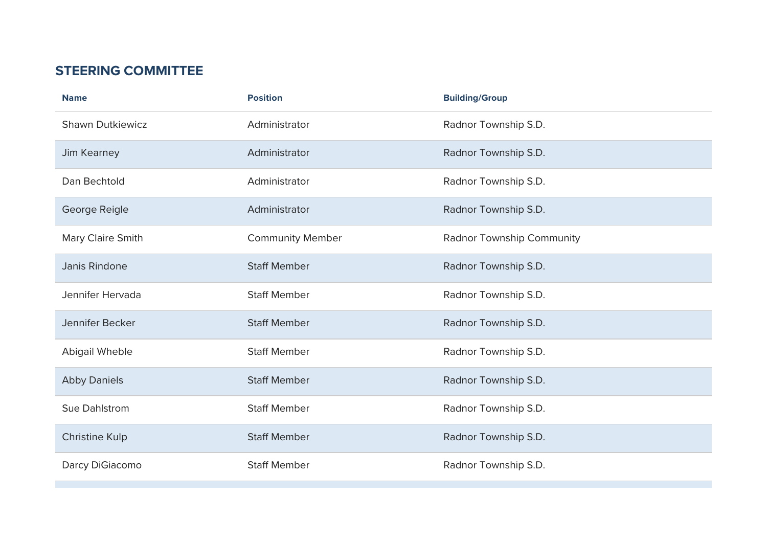# **STEERING COMMITTEE**

| <b>Name</b>             | <b>Position</b>         | <b>Building/Group</b>     |
|-------------------------|-------------------------|---------------------------|
| <b>Shawn Dutkiewicz</b> | Administrator           | Radnor Township S.D.      |
| Jim Kearney             | Administrator           | Radnor Township S.D.      |
| Dan Bechtold            | Administrator           | Radnor Township S.D.      |
| George Reigle           | Administrator           | Radnor Township S.D.      |
| Mary Claire Smith       | <b>Community Member</b> | Radnor Township Community |
| Janis Rindone           | <b>Staff Member</b>     | Radnor Township S.D.      |
| Jennifer Hervada        | <b>Staff Member</b>     | Radnor Township S.D.      |
| Jennifer Becker         | <b>Staff Member</b>     | Radnor Township S.D.      |
| Abigail Wheble          | <b>Staff Member</b>     | Radnor Township S.D.      |
| <b>Abby Daniels</b>     | <b>Staff Member</b>     | Radnor Township S.D.      |
| Sue Dahlstrom           | <b>Staff Member</b>     | Radnor Township S.D.      |
| <b>Christine Kulp</b>   | <b>Staff Member</b>     | Radnor Township S.D.      |
| Darcy DiGiacomo         | <b>Staff Member</b>     | Radnor Township S.D.      |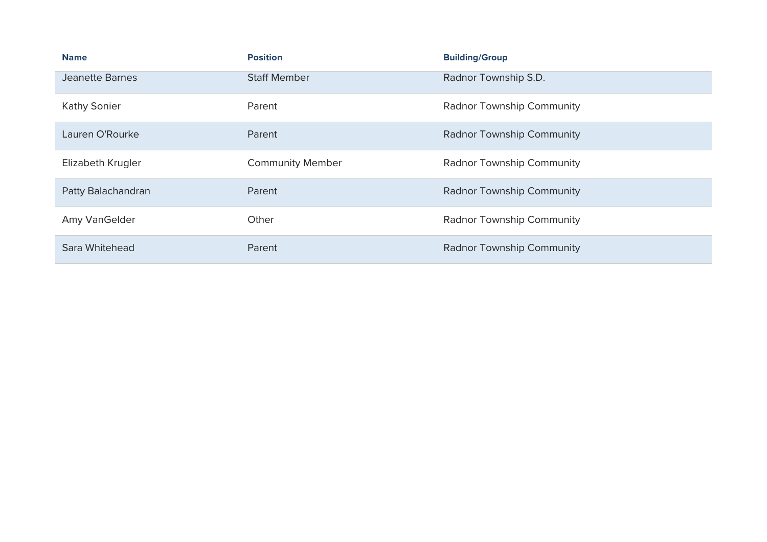| <b>Name</b>            | <b>Position</b>         | <b>Building/Group</b>            |
|------------------------|-------------------------|----------------------------------|
| <b>Jeanette Barnes</b> | <b>Staff Member</b>     | Radnor Township S.D.             |
| <b>Kathy Sonier</b>    | Parent                  | <b>Radnor Township Community</b> |
| Lauren O'Rourke        | Parent                  | <b>Radnor Township Community</b> |
| Elizabeth Krugler      | <b>Community Member</b> | <b>Radnor Township Community</b> |
| Patty Balachandran     | Parent                  | <b>Radnor Township Community</b> |
| Amy VanGelder          | Other                   | <b>Radnor Township Community</b> |
| Sara Whitehead         | Parent                  | <b>Radnor Township Community</b> |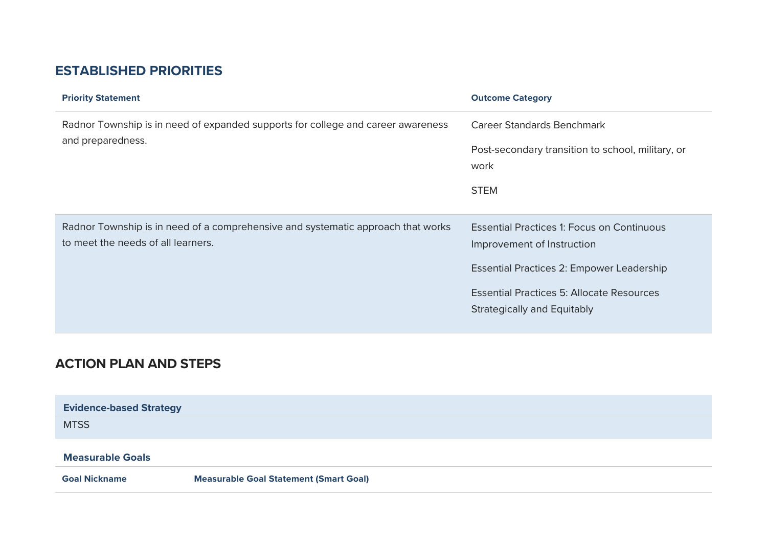# **ESTABLISHED PRIORITIES**

| <b>Priority Statement</b>                                                                                              | <b>Outcome Category</b>                                                                                                                                                                                         |
|------------------------------------------------------------------------------------------------------------------------|-----------------------------------------------------------------------------------------------------------------------------------------------------------------------------------------------------------------|
| Radnor Township is in need of expanded supports for college and career awareness<br>and preparedness.                  | <b>Career Standards Benchmark</b><br>Post-secondary transition to school, military, or<br>work<br><b>STEM</b>                                                                                                   |
| Radnor Township is in need of a comprehensive and systematic approach that works<br>to meet the needs of all learners. | <b>Essential Practices 1: Focus on Continuous</b><br>Improvement of Instruction<br>Essential Practices 2: Empower Leadership<br><b>Essential Practices 5: Allocate Resources</b><br>Strategically and Equitably |

# **ACTION PLAN AND STEPS**

| <b>Evidence-based Strategy</b> |                                               |
|--------------------------------|-----------------------------------------------|
| <b>MTSS</b>                    |                                               |
| <b>Measurable Goals</b>        |                                               |
| <b>Goal Nickname</b>           | <b>Measurable Goal Statement (Smart Goal)</b> |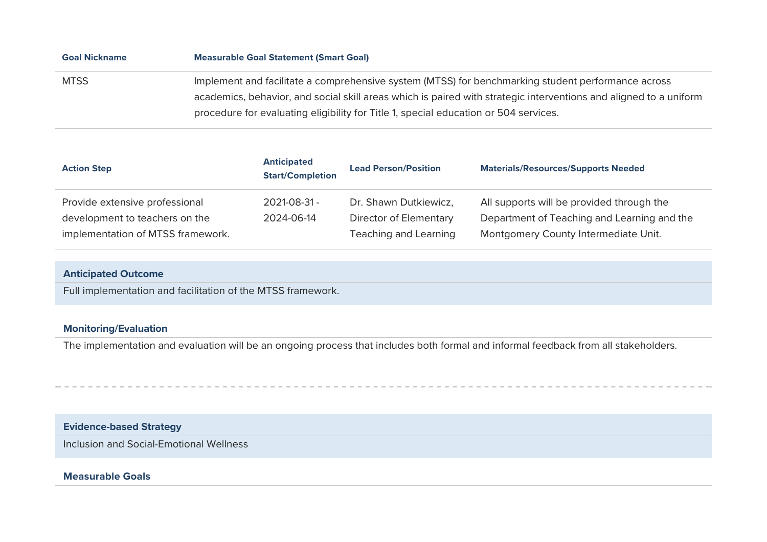| <b>Goal Nickname</b> | <b>Measurable Goal Statement (Smart Goal)</b>                                                                     |
|----------------------|-------------------------------------------------------------------------------------------------------------------|
| <b>MTSS</b>          | Implement and facilitate a comprehensive system (MTSS) for benchmarking student performance across                |
|                      | academics, behavior, and social skill areas which is paired with strategic interventions and aligned to a uniform |
|                      | procedure for evaluating eligibility for Title 1, special education or 504 services.                              |

| <b>Action Step</b>                | <b>Anticipated</b><br><b>Start/Completion</b> | <b>Lead Person/Position</b>  | <b>Materials/Resources/Supports Needed</b>  |
|-----------------------------------|-----------------------------------------------|------------------------------|---------------------------------------------|
| Provide extensive professional    | 2021-08-31 -                                  | Dr. Shawn Dutkiewicz,        | All supports will be provided through the   |
| development to teachers on the    | 2024-06-14                                    | Director of Elementary       | Department of Teaching and Learning and the |
| implementation of MTSS framework. |                                               | <b>Teaching and Learning</b> | Montgomery County Intermediate Unit.        |

#### **Anticipated Outcome**

Full implementation and facilitation of the MTSS framework.

### **Monitoring/Evaluation**

The implementation and evaluation will be an ongoing process that includes both formal and informal feedback from all stakeholders.

### **Evidence-based Strategy**

Inclusion and Social-Emotional Wellness

#### **Measurable Goals**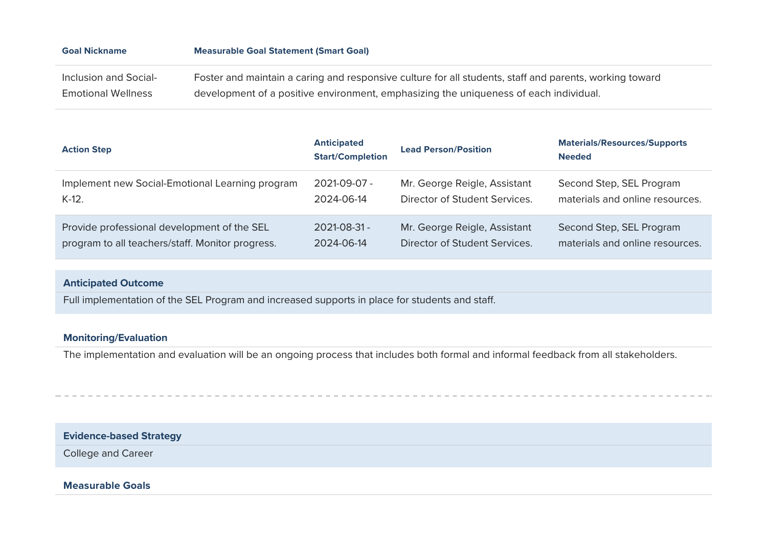| <b>Goal Nickname</b>      | <b>Measurable Goal Statement (Smart Goal)</b>                                                           |
|---------------------------|---------------------------------------------------------------------------------------------------------|
| Inclusion and Social-     | Foster and maintain a caring and responsive culture for all students, staff and parents, working toward |
| <b>Emotional Wellness</b> | development of a positive environment, emphasizing the uniqueness of each individual.                   |

| <b>Action Step</b>                               | <b>Anticipated</b><br><b>Start/Completion</b> | <b>Lead Person/Position</b>   | <b>Materials/Resources/Supports</b><br><b>Needed</b> |
|--------------------------------------------------|-----------------------------------------------|-------------------------------|------------------------------------------------------|
| Implement new Social-Emotional Learning program  | 2021-09-07 -                                  | Mr. George Reigle, Assistant  | Second Step, SEL Program                             |
| $K-12$ .                                         | 2024-06-14                                    | Director of Student Services. | materials and online resources.                      |
| Provide professional development of the SEL      | 2021-08-31 -                                  | Mr. George Reigle, Assistant  | Second Step, SEL Program                             |
| program to all teachers/staff. Monitor progress. | 2024-06-14                                    | Director of Student Services. | materials and online resources.                      |

#### **Anticipated Outcome**

Full implementation of the SEL Program and increased supports in place for students and staff.

#### **Monitoring/Evaluation**

The implementation and evaluation will be an ongoing process that includes both formal and informal feedback from all stakeholders.

**Evidence-based Strategy** 

College and Career

#### **Measurable Goals**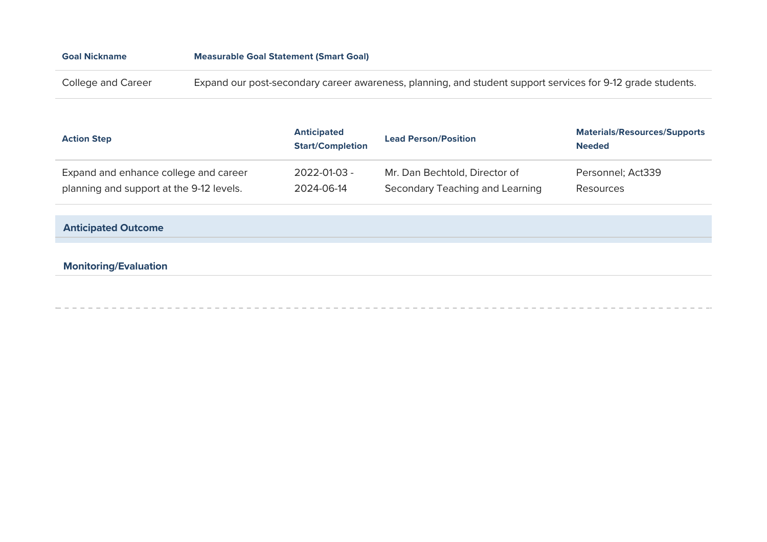College and Career **Expand our post-secondary career awareness**, planning, and student support services for 9-12 grade students.

| <b>Action Step</b>                       | <b>Anticipated</b><br><b>Start/Completion</b> | <b>Lead Person/Position</b>     | <b>Materials/Resources/Supports</b><br><b>Needed</b> |
|------------------------------------------|-----------------------------------------------|---------------------------------|------------------------------------------------------|
| Expand and enhance college and career    | 2022-01-03 -                                  | Mr. Dan Bechtold, Director of   | Personnel; Act339                                    |
| planning and support at the 9-12 levels. | 2024-06-14                                    | Secondary Teaching and Learning | Resources                                            |

| <b>Anticipated Outcome</b>   |  |  |  |
|------------------------------|--|--|--|
|                              |  |  |  |
| <b>Monitoring/Evaluation</b> |  |  |  |

--------------------

--------------------------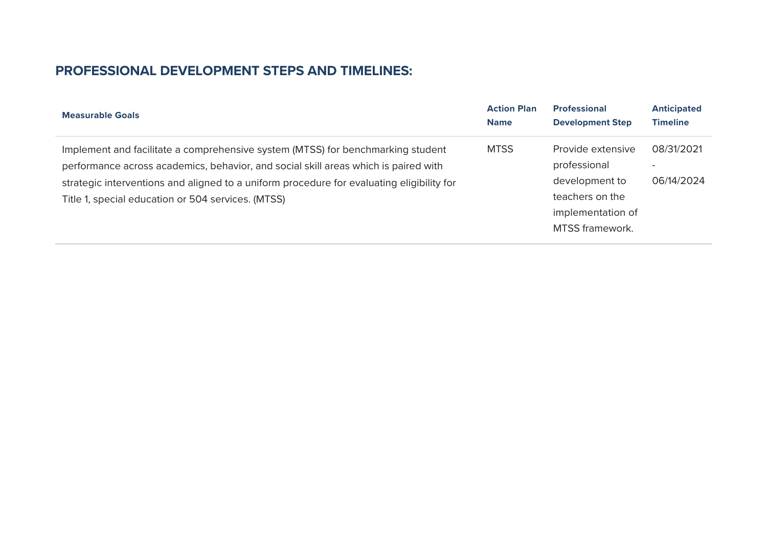# **PROFESSIONAL DEVELOPMENT STEPS AND TIMELINES:**

| <b>Measurable Goals</b>                                                                                                                                                                                                                                                                                                   | <b>Action Plan</b> | <b>Professional</b>                                                                                            | <b>Anticipated</b>                                   |
|---------------------------------------------------------------------------------------------------------------------------------------------------------------------------------------------------------------------------------------------------------------------------------------------------------------------------|--------------------|----------------------------------------------------------------------------------------------------------------|------------------------------------------------------|
|                                                                                                                                                                                                                                                                                                                           | <b>Name</b>        | <b>Development Step</b>                                                                                        | <b>Timeline</b>                                      |
| Implement and facilitate a comprehensive system (MTSS) for benchmarking student<br>performance across academics, behavior, and social skill areas which is paired with<br>strategic interventions and aligned to a uniform procedure for evaluating eligibility for<br>Title 1, special education or 504 services. (MTSS) | <b>MTSS</b>        | Provide extensive<br>professional<br>development to<br>teachers on the<br>implementation of<br>MTSS framework. | 08/31/2021<br>$\overline{\phantom{a}}$<br>06/14/2024 |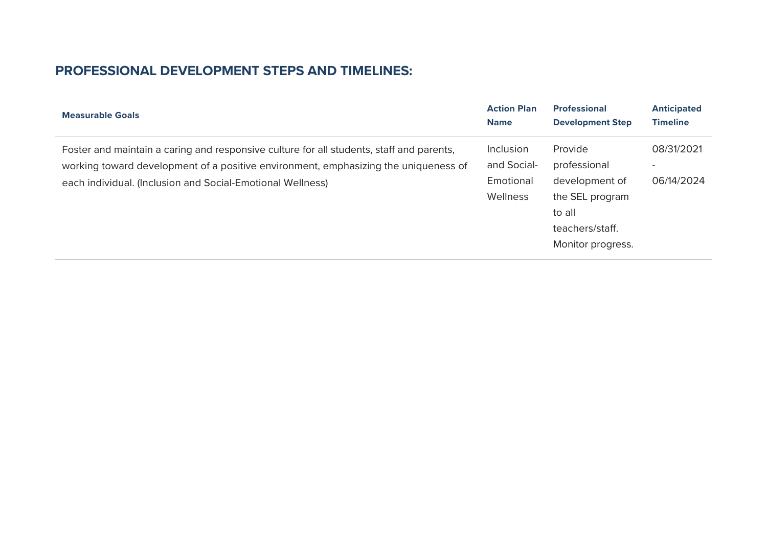# **PROFESSIONAL DEVELOPMENT STEPS AND TIMELINES:**

| <b>Measurable Goals</b>                                                                                                                                                                                                                       | <b>Action Plan</b>                                | <b>Professional</b>                                                                                            | <b>Anticipated</b>                                   |
|-----------------------------------------------------------------------------------------------------------------------------------------------------------------------------------------------------------------------------------------------|---------------------------------------------------|----------------------------------------------------------------------------------------------------------------|------------------------------------------------------|
|                                                                                                                                                                                                                                               | <b>Name</b>                                       | <b>Development Step</b>                                                                                        | <b>Timeline</b>                                      |
| Foster and maintain a caring and responsive culture for all students, staff and parents,<br>working toward development of a positive environment, emphasizing the uniqueness of<br>each individual. (Inclusion and Social-Emotional Wellness) | Inclusion<br>and Social-<br>Emotional<br>Wellness | Provide<br>professional<br>development of<br>the SEL program<br>to all<br>teachers/staff.<br>Monitor progress. | 08/31/2021<br>$\overline{\phantom{0}}$<br>06/14/2024 |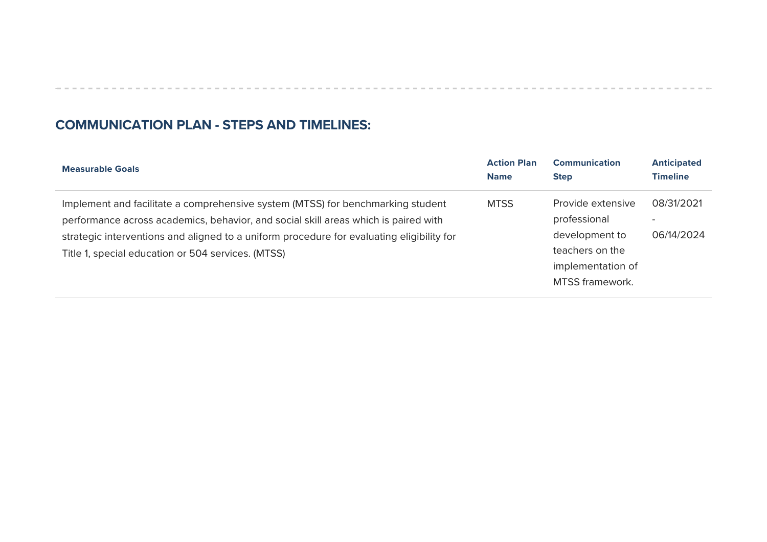| <b>Measurable Goals</b>                                                                                                                                                | <b>Action Plan</b> | <b>Communication</b>                                                             | <b>Anticipated</b>            |
|------------------------------------------------------------------------------------------------------------------------------------------------------------------------|--------------------|----------------------------------------------------------------------------------|-------------------------------|
|                                                                                                                                                                        | <b>Name</b>        | <b>Step</b>                                                                      | <b>Timeline</b>               |
| Implement and facilitate a comprehensive system (MTSS) for benchmarking student<br>performance across academics, behavior, and social skill areas which is paired with | <b>MTSS</b>        | Provide extensive<br>professional                                                | 08/31/2021<br>$\qquad \qquad$ |
| strategic interventions and aligned to a uniform procedure for evaluating eligibility for<br>Title 1, special education or 504 services. (MTSS)                        |                    | development to<br>teachers on the<br>implementation of<br><b>MTSS</b> framework. | 06/14/2024                    |

the contract of the contract of the contract of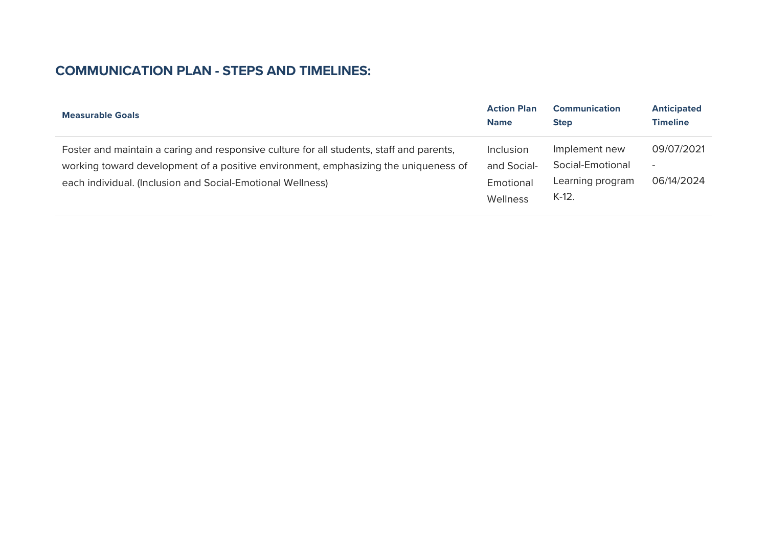| <b>Measurable Goals</b>                                                                                                                                                                                                                       | <b>Action Plan</b>                                | <b>Communication</b>                                              | <b>Anticipated</b>                                   |
|-----------------------------------------------------------------------------------------------------------------------------------------------------------------------------------------------------------------------------------------------|---------------------------------------------------|-------------------------------------------------------------------|------------------------------------------------------|
|                                                                                                                                                                                                                                               | <b>Name</b>                                       | <b>Step</b>                                                       | <b>Timeline</b>                                      |
| Foster and maintain a caring and responsive culture for all students, staff and parents,<br>working toward development of a positive environment, emphasizing the uniqueness of<br>each individual. (Inclusion and Social-Emotional Wellness) | Inclusion<br>and Social-<br>Emotional<br>Wellness | Implement new<br>Social-Emotional<br>Learning program<br>$K-12$ . | 09/07/2021<br>$\overline{\phantom{0}}$<br>06/14/2024 |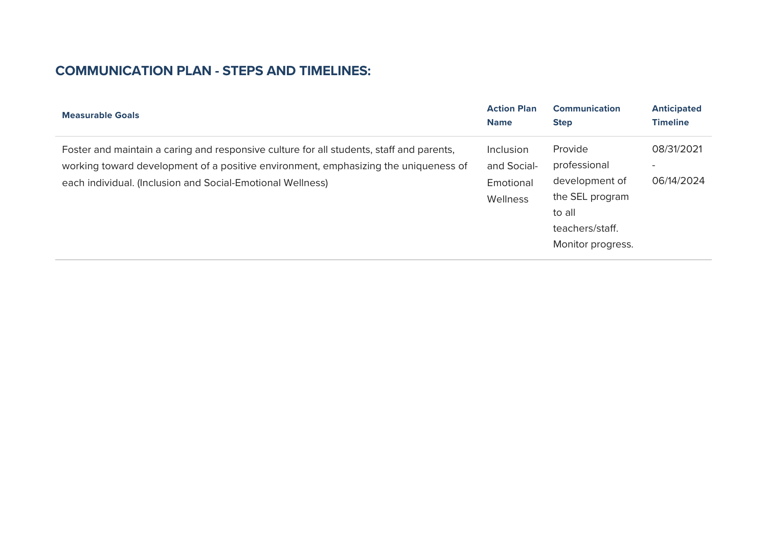| <b>Measurable Goals</b>                                                                                                                                                                                                                       | <b>Action Plan</b>                                | <b>Communication</b>                                                                                           | <b>Anticipated</b>       |
|-----------------------------------------------------------------------------------------------------------------------------------------------------------------------------------------------------------------------------------------------|---------------------------------------------------|----------------------------------------------------------------------------------------------------------------|--------------------------|
|                                                                                                                                                                                                                                               | <b>Name</b>                                       | <b>Step</b>                                                                                                    | <b>Timeline</b>          |
| Foster and maintain a caring and responsive culture for all students, staff and parents,<br>working toward development of a positive environment, emphasizing the uniqueness of<br>each individual. (Inclusion and Social-Emotional Wellness) | Inclusion<br>and Social-<br>Emotional<br>Wellness | Provide<br>professional<br>development of<br>the SEL program<br>to all<br>teachers/staff.<br>Monitor progress. | 08/31/2021<br>06/14/2024 |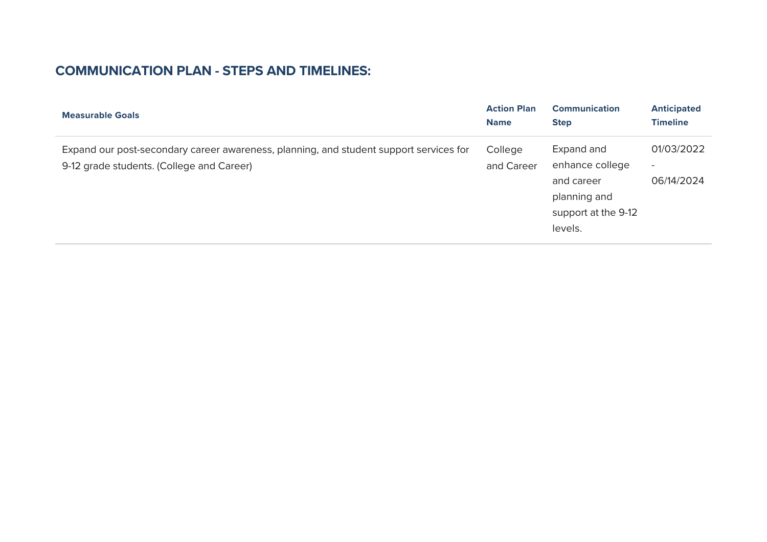| <b>Measurable Goals</b>                                                                                                             | <b>Action Plan</b>    | <b>Communication</b>                                                                          | <b>Anticipated</b>                                   |
|-------------------------------------------------------------------------------------------------------------------------------------|-----------------------|-----------------------------------------------------------------------------------------------|------------------------------------------------------|
|                                                                                                                                     | <b>Name</b>           | <b>Step</b>                                                                                   | <b>Timeline</b>                                      |
| Expand our post-secondary career awareness, planning, and student support services for<br>9-12 grade students. (College and Career) | College<br>and Career | Expand and<br>enhance college<br>and career<br>planning and<br>support at the 9-12<br>levels. | 01/03/2022<br>$\overline{\phantom{a}}$<br>06/14/2024 |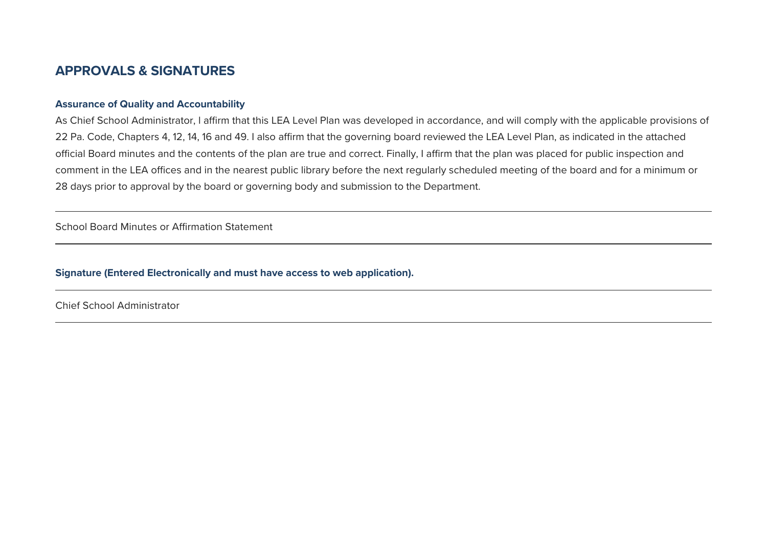# **APPROVALS & SIGNATURES**

#### **Assurance of Quality and Accountability**

As Chief School Administrator, I affirm that this LEA Level Plan was developed in accordance, and will comply with the applicable provisions of 22 Pa. Code, Chapters 4, 12, 14, 16 and 49. I also affirm that the governing board reviewed the LEA Level Plan, as indicated in the attached official Board minutes and the contents of the plan are true and correct. Finally, I affirm that the plan was placed for public inspection and comment in the LEA offices and in the nearest public library before the next regularly scheduled meeting of the board and for a minimum or 28 days prior to approval by the board or governing body and submission to the Department.

School Board Minutes or Affirmation Statement

#### **Signature (Entered Electronically and must have access to web application).**

Chief School Administrator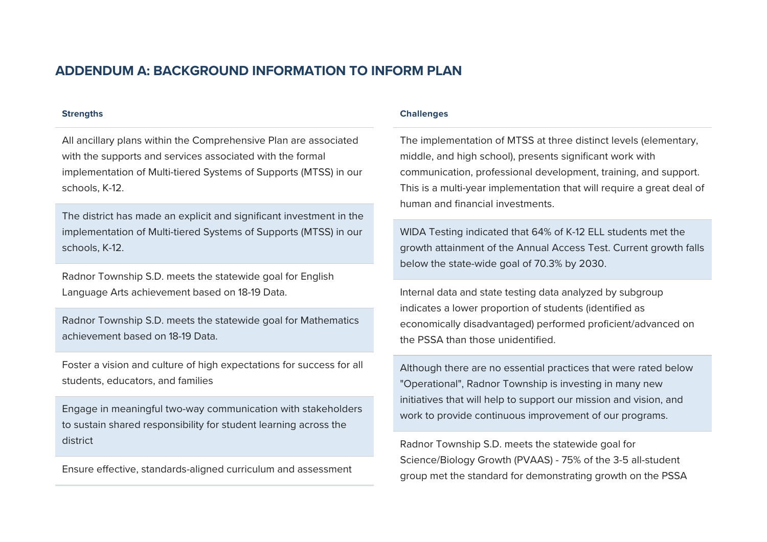# **ADDENDUM A: BACKGROUND INFORMATION TO INFORM PLAN**

#### **Strengths**

All ancillary plans within the Comprehensive Plan are associated with the supports and services associated with the formal implementation of Multi-tiered Systems of Supports (MTSS) in our schools, K-12.

The district has made an explicit and significant investment in the implementation of Multi-tiered Systems of Supports (MTSS) in our schools, K-12.

Radnor Township S.D. meets the statewide goal for English Language Arts achievement based on 18-19 Data.

Radnor Township S.D. meets the statewide goal for Mathematics achievement based on 18-19 Data.

Foster a vision and culture of high expectations for success for all students, educators, and families

Engage in meaningful two-way communication with stakeholders to sustain shared responsibility for student learning across the district

Ensure effective, standards-aligned curriculum and assessment

#### **Challenges**

The implementation of MTSS at three distinct levels (elementary, middle, and high school), presents significant work with communication, professional development, training, and support. This is a multi-year implementation that will require a great deal of human and financial investments.

WIDA Testing indicated that 64% of K-12 ELL students met the growth attainment of the Annual Access Test. Current growth falls below the state-wide goal of 70.3% by 2030.

Internal data and state testing data analyzed by subgroup indicates a lower proportion of students (identified as economically disadvantaged) performed proficient/advanced on the PSSA than those unidentified.

Although there are no essential practices that were rated below "Operational", Radnor Township is investing in many new initiatives that will help to support our mission and vision, and work to provide continuous improvement of our programs.

Radnor Township S.D. meets the statewide goal for Science/Biology Growth (PVAAS) - 75% of the 3-5 all-student group met the standard for demonstrating growth on the PSSA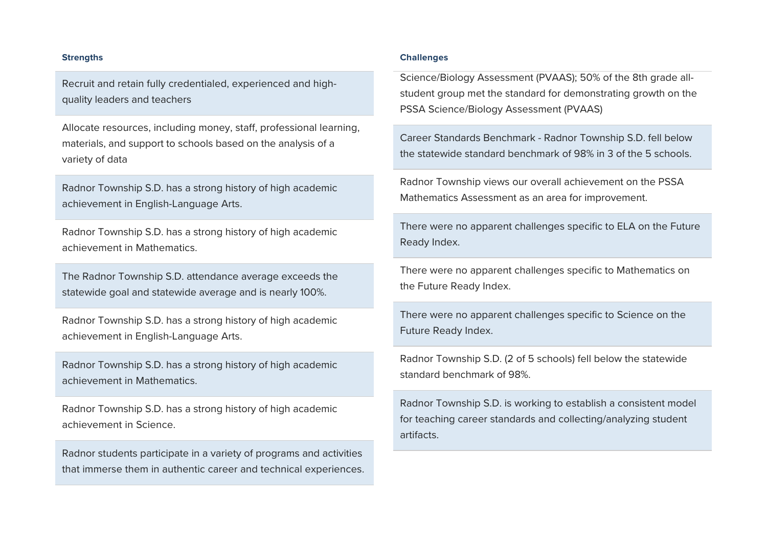Recruit and retain fully credentialed, experienced and highquality leaders and teachers

Allocate resources, including money, staff, professional learning, materials, and support to schools based on the analysis of a variety of data

Radnor Township S.D. has a strong history of high academic achievement in English-Language Arts.

Radnor Township S.D. has a strong history of high academic achievement in Mathematics.

The Radnor Township S.D. attendance average exceeds the statewide goal and statewide average and is nearly 100%.

Radnor Township S.D. has a strong history of high academic achievement in English-Language Arts.

Radnor Township S.D. has a strong history of high academic achievement in Mathematics.

Radnor Township S.D. has a strong history of high academic achievement in Science.

Radnor students participate in a variety of programs and activities that immerse them in authentic career and technical experiences.

#### **the Strengths Challenges Challenges Challenges Challenges**

Science/Biology Assessment (PVAAS); 50% of the 8th grade allstudent group met the standard for demonstrating growth on the PSSA Science/Biology Assessment (PVAAS)

Career Standards Benchmark - Radnor Township S.D. fell below the statewide standard benchmark of 98% in 3 of the 5 schools.

Radnor Township views our overall achievement on the PSSA Mathematics Assessment as an area for improvement.

There were no apparent challenges specific to ELA on the Future Ready Index.

There were no apparent challenges specific to Mathematics on the Future Ready Index.

There were no apparent challenges specific to Science on the Future Ready Index.

Radnor Township S.D. (2 of 5 schools) fell below the statewide standard benchmark of 98%.

Radnor Township S.D. is working to establish a consistent model for teaching career standards and collecting/analyzing student artifacts.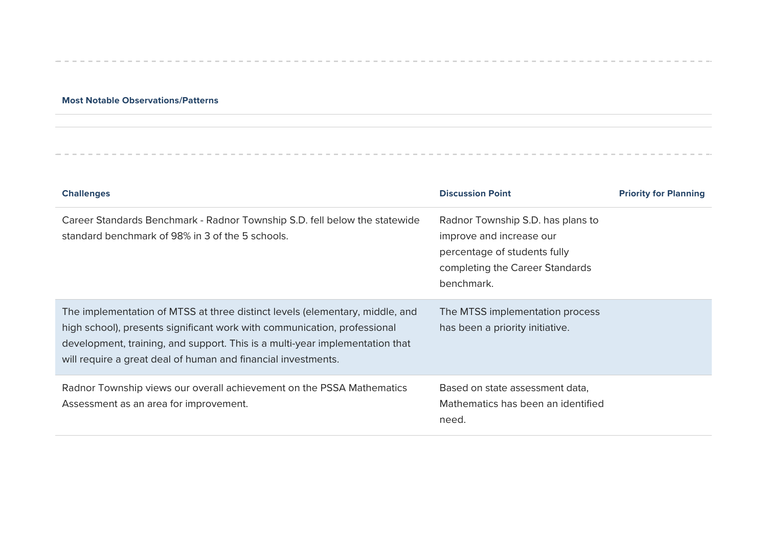#### **Most Notable Observations/Patterns**

| <b>Challenges</b>                                                                                                                                                                                                                                                                                         | <b>Discussion Point</b>                                                                                                                        | <b>Priority for Planning</b> |
|-----------------------------------------------------------------------------------------------------------------------------------------------------------------------------------------------------------------------------------------------------------------------------------------------------------|------------------------------------------------------------------------------------------------------------------------------------------------|------------------------------|
| Career Standards Benchmark - Radnor Township S.D. fell below the statewide<br>standard benchmark of 98% in 3 of the 5 schools.                                                                                                                                                                            | Radnor Township S.D. has plans to<br>improve and increase our<br>percentage of students fully<br>completing the Career Standards<br>benchmark. |                              |
| The implementation of MTSS at three distinct levels (elementary, middle, and<br>high school), presents significant work with communication, professional<br>development, training, and support. This is a multi-year implementation that<br>will require a great deal of human and financial investments. | The MTSS implementation process<br>has been a priority initiative.                                                                             |                              |
| Radnor Township views our overall achievement on the PSSA Mathematics<br>Assessment as an area for improvement.                                                                                                                                                                                           | Based on state assessment data,<br>Mathematics has been an identified<br>need.                                                                 |                              |

 $\sim$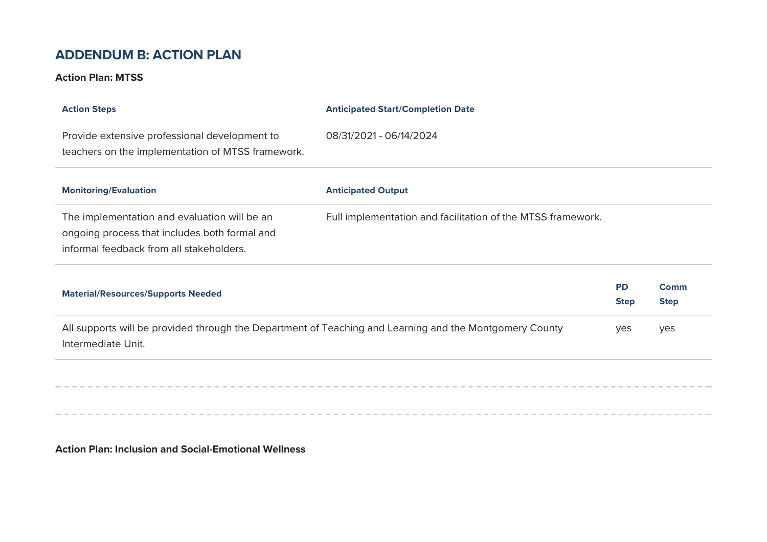# **ADDENDUM B: ACTION PLAN**

#### **Action Plan: MT**

| <b>Action Steps</b>                                                                                | <b>Anticipated Start/Completion Date</b> |
|----------------------------------------------------------------------------------------------------|------------------------------------------|
| Provide extensive professional development to<br>teachers on the implementation of MTSS framework. | 08/31/2021 - 06/14/2024                  |
|                                                                                                    |                                          |
| <b>Monitoring/Evaluation</b>                                                                       | <b>Anticipated Output</b>                |

| <b>Material/Resources/Supports Needed</b>                                                                                     | <b>PD</b><br><b>Step</b> | Comm<br><b>Step</b> |
|-------------------------------------------------------------------------------------------------------------------------------|--------------------------|---------------------|
| All supports will be provided through the Department of Teaching and Learning and the Montgomery County<br>Intermediate Unit. | ves                      | <b>yes</b>          |

--------------------------

the control

**Action Plan: Inclusion and Social-Emotional Wellness** 

----------------------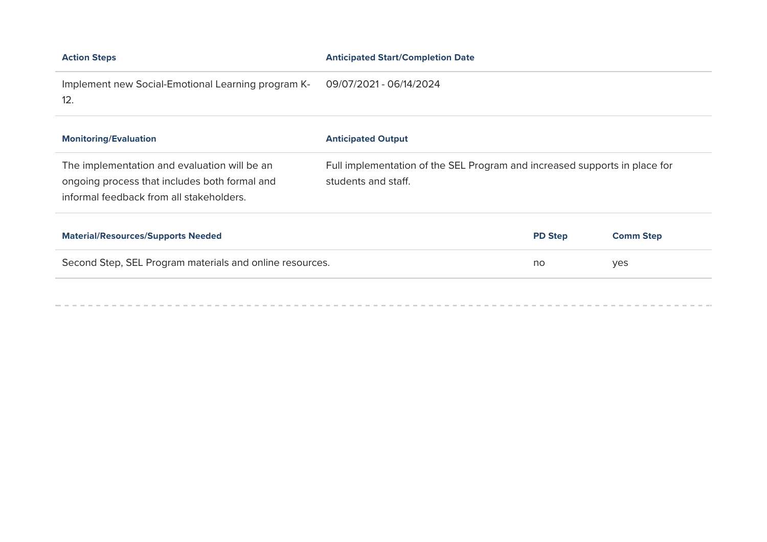| <b>Action Steps</b>                                       | <b>Anticipated Start/Completion Date</b>                                   |
|-----------------------------------------------------------|----------------------------------------------------------------------------|
| Implement new Social-Emotional Learning program K-<br>12. | 09/07/2021 - 06/14/2024                                                    |
| <b>Monitoring/Evaluation</b>                              | <b>Anticipated Output</b>                                                  |
| The implementation and evaluation will be an              | Full implementation of the SEL Program and increased supports in place for |
| ongoing process that includes both formal and             | students and staff.                                                        |
| informal feedback from all stakeholders.                  |                                                                            |
| <b>Material/Resources/Supports Needed</b>                 | <b>PD Step</b><br><b>Comm Step</b>                                         |
| Second Step, SEL Program materials and online resources.  | no<br>yes                                                                  |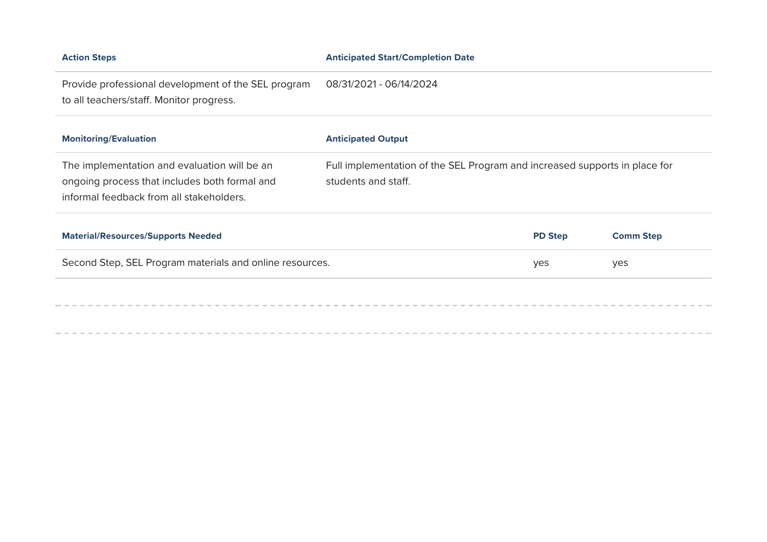| <b>Action Steps</b>                                                                                                                       | <b>Anticipated Start/Completion Date</b>                                                          |                |                  |
|-------------------------------------------------------------------------------------------------------------------------------------------|---------------------------------------------------------------------------------------------------|----------------|------------------|
| Provide professional development of the SEL program<br>to all teachers/staff. Monitor progress.                                           | 08/31/2021 - 06/14/2024                                                                           |                |                  |
| <b>Monitoring/Evaluation</b>                                                                                                              | <b>Anticipated Output</b>                                                                         |                |                  |
| The implementation and evaluation will be an<br>ongoing process that includes both formal and<br>informal feedback from all stakeholders. | Full implementation of the SEL Program and increased supports in place for<br>students and staff. |                |                  |
| <b>Material/Resources/Supports Needed</b>                                                                                                 |                                                                                                   | <b>PD Step</b> | <b>Comm Step</b> |
| Second Step, SEL Program materials and online resources.                                                                                  |                                                                                                   | yes            | yes              |
|                                                                                                                                           |                                                                                                   |                |                  |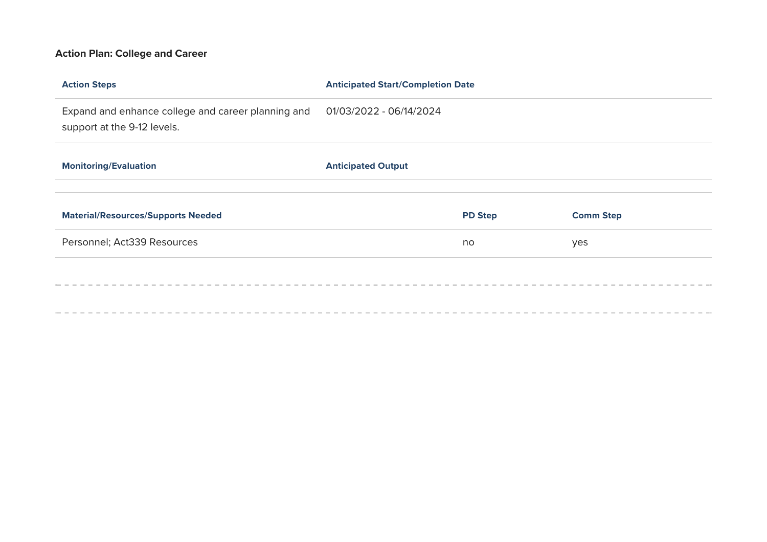# **Action Plan: College and Career**

| <b>Action Steps</b>                                                               | <b>Anticipated Start/Completion Date</b> |                |                  |
|-----------------------------------------------------------------------------------|------------------------------------------|----------------|------------------|
| Expand and enhance college and career planning and<br>support at the 9-12 levels. | 01/03/2022 - 06/14/2024                  |                |                  |
| <b>Monitoring/Evaluation</b>                                                      | <b>Anticipated Output</b>                |                |                  |
| <b>Material/Resources/Supports Needed</b>                                         |                                          | <b>PD Step</b> | <b>Comm Step</b> |
| Personnel; Act339 Resources                                                       |                                          | no             | yes              |
|                                                                                   |                                          |                |                  |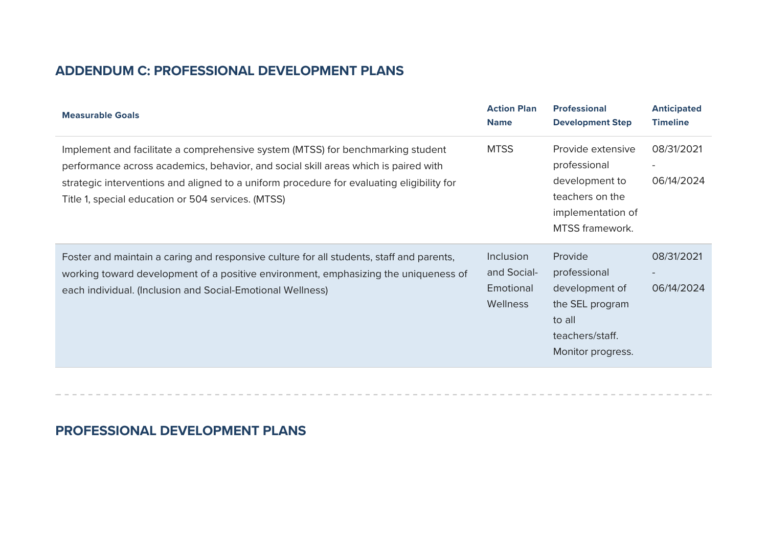# **ADDENDUM C: PROFESSIONAL DEVELOPMENT PLANS**

| <b>Measurable Goals</b>                                                                                                                                                                                                                                                                                                   | <b>Action Plan</b><br><b>Name</b>                 | <b>Professional</b><br><b>Development Step</b>                                                                        | <b>Anticipated</b><br><b>Timeline</b>                |
|---------------------------------------------------------------------------------------------------------------------------------------------------------------------------------------------------------------------------------------------------------------------------------------------------------------------------|---------------------------------------------------|-----------------------------------------------------------------------------------------------------------------------|------------------------------------------------------|
| Implement and facilitate a comprehensive system (MTSS) for benchmarking student<br>performance across academics, behavior, and social skill areas which is paired with<br>strategic interventions and aligned to a uniform procedure for evaluating eligibility for<br>Title 1, special education or 504 services. (MTSS) | <b>MTSS</b>                                       | Provide extensive<br>professional<br>development to<br>teachers on the<br>implementation of<br><b>MTSS</b> framework. | 08/31/2021<br>$\overline{\phantom{a}}$<br>06/14/2024 |
| Foster and maintain a caring and responsive culture for all students, staff and parents,<br>working toward development of a positive environment, emphasizing the uniqueness of<br>each individual. (Inclusion and Social-Emotional Wellness)                                                                             | Inclusion<br>and Social-<br>Emotional<br>Wellness | Provide<br>professional<br>development of<br>the SEL program<br>to all<br>teachers/staff.<br>Monitor progress.        | 08/31/2021<br>$\overline{\phantom{a}}$<br>06/14/2024 |

# **PROFESSIONAL DEVELOPMENT PLANS**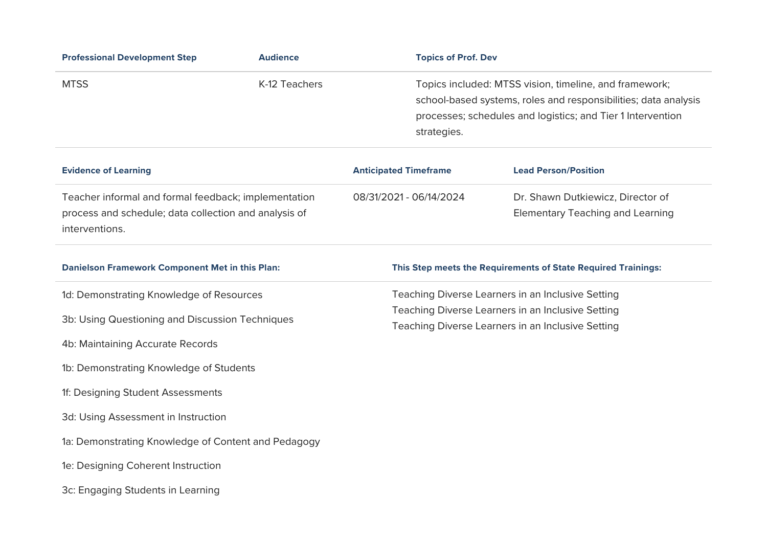| <b>Professional Development Step</b>                                                                                            | <b>Audience</b> | <b>Topics of Prof. Dev</b>                                    |                                                                                                                                                                                          |  |  |
|---------------------------------------------------------------------------------------------------------------------------------|-----------------|---------------------------------------------------------------|------------------------------------------------------------------------------------------------------------------------------------------------------------------------------------------|--|--|
| <b>MTSS</b><br>K-12 Teachers                                                                                                    |                 | strategies.                                                   | Topics included: MTSS vision, timeline, and framework;<br>school-based systems, roles and responsibilities; data analysis<br>processes; schedules and logistics; and Tier 1 Intervention |  |  |
| <b>Evidence of Learning</b>                                                                                                     |                 | <b>Anticipated Timeframe</b>                                  | <b>Lead Person/Position</b>                                                                                                                                                              |  |  |
| Teacher informal and formal feedback; implementation<br>process and schedule; data collection and analysis of<br>interventions. |                 | 08/31/2021 - 06/14/2024                                       | Dr. Shawn Dutkiewicz, Director of<br>Elementary Teaching and Learning                                                                                                                    |  |  |
| <b>Danielson Framework Component Met in this Plan:</b>                                                                          |                 | This Step meets the Requirements of State Required Trainings: |                                                                                                                                                                                          |  |  |
| 1d: Demonstrating Knowledge of Resources                                                                                        |                 |                                                               | Teaching Diverse Learners in an Inclusive Setting                                                                                                                                        |  |  |

- 3b: Using Questioning and Discussion Techniques
- 4b: Maintaining Accurate Records
- 1b: Demonstrating Knowledge of Students
- 1f: Designing Student Assessments
- 3d: Using Assessment in Instruction
- 1a: Demonstrating Knowledge of Content and Pedagog
- 1e: Designing Coherent Instruction
- 3c: Engaging Students in Learning

Teaching Diverse Learners in an Inclusive Setting Teaching Diverse Learners in an Inclusive Setting Teaching Diverse Learners in an Inclusive Setting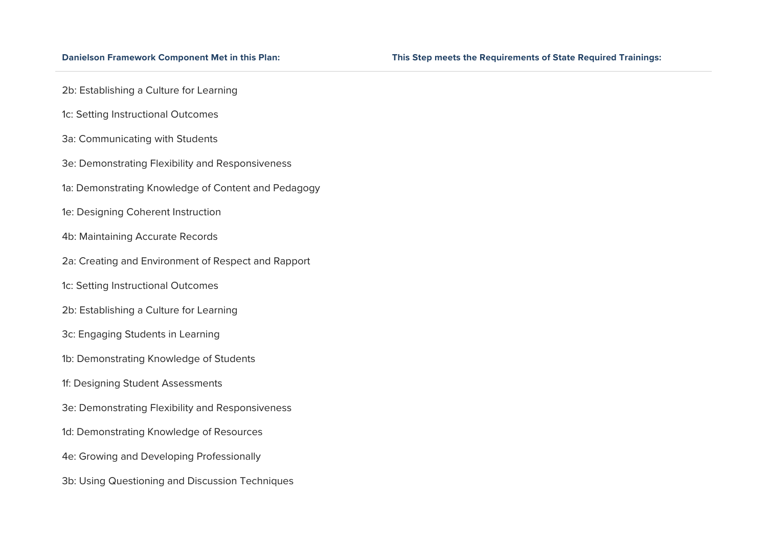- 2b: Establishing a Culture for Learning
- 1c: Setting Instructional Outcomes
- 3a: Communicating with Students
- 3e: Demonstrating Flexibility and Responsiveness
- 1a: Demonstrating Knowledge of Content and Pedagog
- 1e: Designing Coherent Instruction
- 4b: Maintaining Accurate Records
- 2a: Creating and Environment of Respect and Rapport
- 1c: Setting Instructional Outcomes
- 2b: Establishing a Culture for Learning
- 3c: Engaging Students in Learning
- 1b: Demonstrating Knowledge of Students
- 1f: Designing Student Assessments
- 3e: Demonstrating Flexibility and Responsiveness
- 1d: Demonstrating Knowledge of Resources
- 4e: Growing and Developing Professionall
- 3b: Using Questioning and Discussion Techniques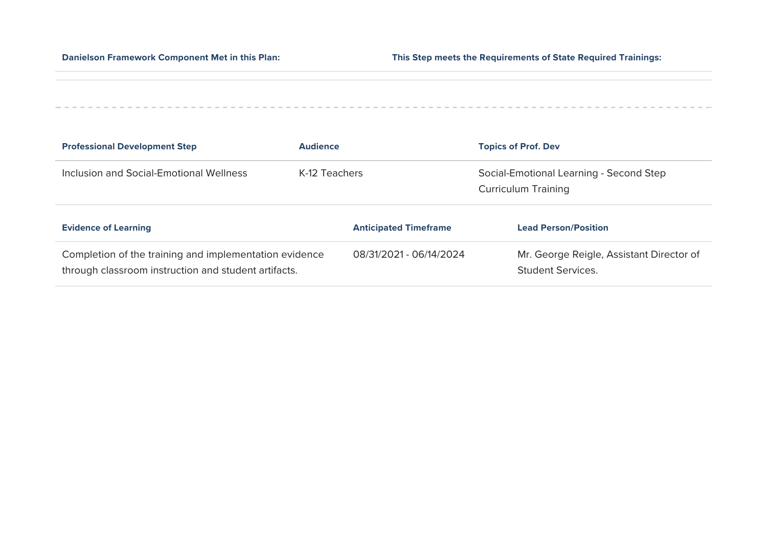$\sim$  100  $\sim$ 

| <b>Professional Development Step</b>                                                                           | <b>Audience</b>              | <b>Topics of Prof. Dev</b>                                            |
|----------------------------------------------------------------------------------------------------------------|------------------------------|-----------------------------------------------------------------------|
| Inclusion and Social-Emotional Wellness                                                                        | K-12 Teachers                | Social-Emotional Learning - Second Step<br><b>Curriculum Training</b> |
| <b>Evidence of Learning</b>                                                                                    | <b>Anticipated Timeframe</b> | <b>Lead Person/Position</b>                                           |
| Completion of the training and implementation evidence<br>through classroom instruction and student artifacts. | 08/31/2021 - 06/14/2024      | Mr. George Reigle, Assistant Director of<br><b>Student Services.</b>  |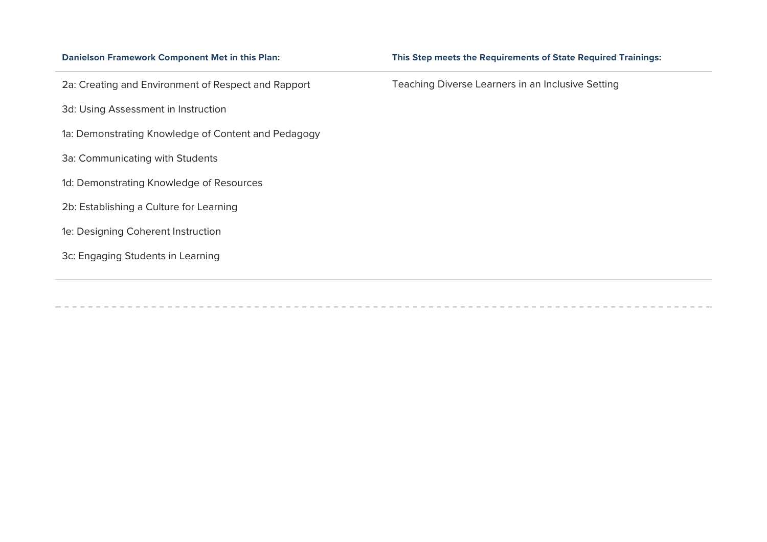| 2a: Creating and Environment of Respect and Rapport |  |  |  |  |  |  |  |
|-----------------------------------------------------|--|--|--|--|--|--|--|
|-----------------------------------------------------|--|--|--|--|--|--|--|

- 3d: Using Assessment in Instruction
- 1a: Demonstrating Knowledge of Content and Pedagog
- 3a: Communicating with Students
- 1d: Demonstrating Knowledge of Resources
- 2b: Establishing a Culture for Learning
- 1e: Designing Coherent Instruction
- 3c: Engaging Students in Learning

#### **Danielson Framework Component Met in this Plan: This Step meets the Requirements of State Required Trainings:**

Teaching Diverse Learners in an Inclusive Setting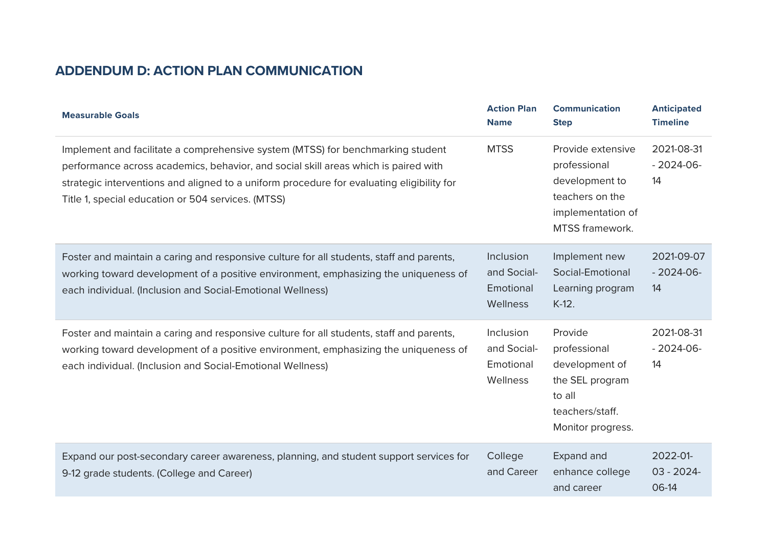# **ADDENDUM D: ACTION PLAN COMMUNICATION**

| <b>Measurable Goals</b>                                                                                                                                                                                                                                                                                                   | <b>Action Plan</b><br><b>Name</b>                 | <b>Communication</b><br><b>Step</b>                                                                            | <b>Anticipated</b><br><b>Timeline</b> |
|---------------------------------------------------------------------------------------------------------------------------------------------------------------------------------------------------------------------------------------------------------------------------------------------------------------------------|---------------------------------------------------|----------------------------------------------------------------------------------------------------------------|---------------------------------------|
| Implement and facilitate a comprehensive system (MTSS) for benchmarking student<br>performance across academics, behavior, and social skill areas which is paired with<br>strategic interventions and aligned to a uniform procedure for evaluating eligibility for<br>Title 1, special education or 504 services. (MTSS) | <b>MTSS</b>                                       | Provide extensive<br>professional<br>development to<br>teachers on the<br>implementation of<br>MTSS framework. | 2021-08-31<br>$-2024-06-$<br>14       |
| Foster and maintain a caring and responsive culture for all students, staff and parents,<br>working toward development of a positive environment, emphasizing the uniqueness of<br>each individual. (Inclusion and Social-Emotional Wellness)                                                                             | Inclusion<br>and Social-<br>Emotional<br>Wellness | Implement new<br>Social-Emotional<br>Learning program<br>$K-12$ .                                              | 2021-09-07<br>$-2024-06-$<br>14       |
| Foster and maintain a caring and responsive culture for all students, staff and parents,<br>working toward development of a positive environment, emphasizing the uniqueness of<br>each individual. (Inclusion and Social-Emotional Wellness)                                                                             | Inclusion<br>and Social-<br>Emotional<br>Wellness | Provide<br>professional<br>development of<br>the SEL program<br>to all<br>teachers/staff.<br>Monitor progress. | 2021-08-31<br>$-2024-06-$<br>14       |
| Expand our post-secondary career awareness, planning, and student support services for<br>9-12 grade students. (College and Career)                                                                                                                                                                                       | College<br>and Career                             | Expand and<br>enhance college<br>and career                                                                    | 2022-01-<br>$03 - 2024 -$<br>06-14    |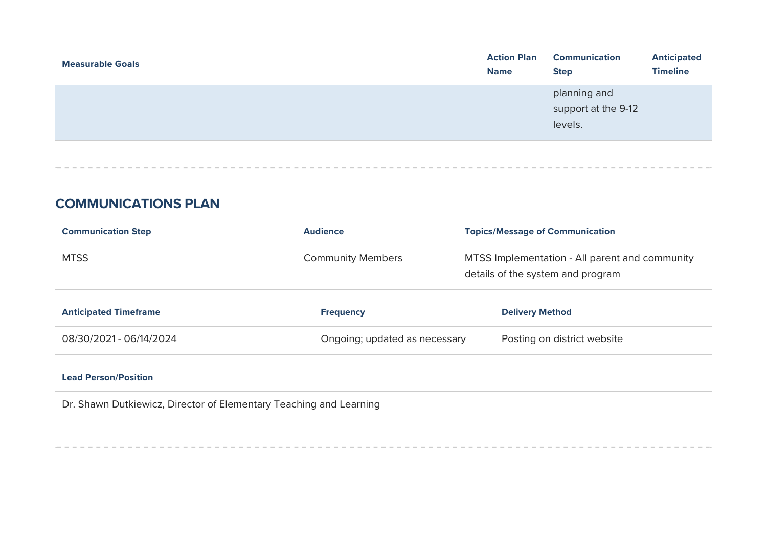| <b>Measurable Goals</b> | <b>Action Plan</b>                             | <b>Communication</b> | <b>Anticipated</b> |
|-------------------------|------------------------------------------------|----------------------|--------------------|
|                         | <b>Name</b>                                    | <b>Step</b>          | <b>Timeline</b>    |
|                         | planning and<br>support at the 9-12<br>levels. |                      |                    |

**COMMUNICATIONS PLAN** 

| <b>Communication Step</b>    | <b>Topics/Message of Communication</b><br><b>Audience</b>                                                       |                             |
|------------------------------|-----------------------------------------------------------------------------------------------------------------|-----------------------------|
| <b>MTSS</b>                  | <b>Community Members</b><br>MTSS Implementation - All parent and community<br>details of the system and program |                             |
| <b>Anticipated Timeframe</b> | <b>Frequency</b>                                                                                                | <b>Delivery Method</b>      |
| 08/30/2021 - 06/14/2024      | Ongoing; updated as necessary                                                                                   | Posting on district website |

#### **Lead Person/Position**

Dr. Shawn Dutkiewicz, Director of Elementary Teaching and Learning

-------------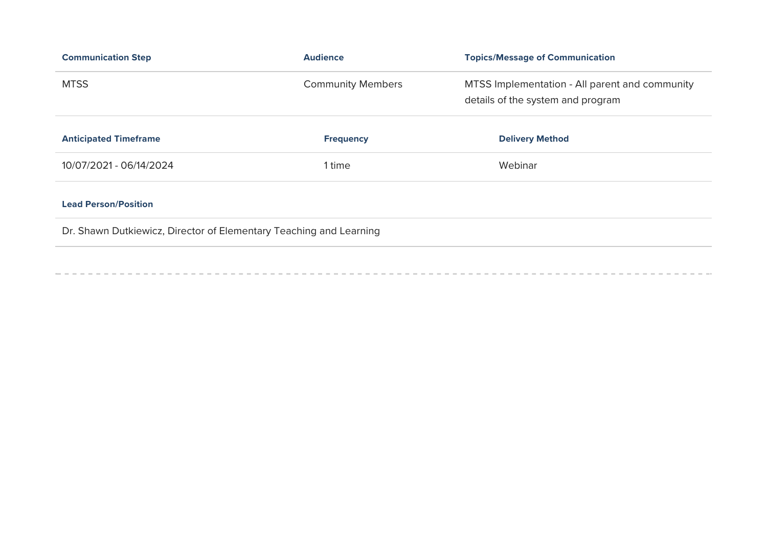| <b>Communication Step</b>    | <b>Audience</b>          | <b>Topics/Message of Communication</b>                                              |
|------------------------------|--------------------------|-------------------------------------------------------------------------------------|
| <b>MTSS</b>                  | <b>Community Members</b> | MTSS Implementation - All parent and community<br>details of the system and program |
| <b>Anticipated Timeframe</b> | <b>Frequency</b>         | <b>Delivery Method</b>                                                              |
| 10/07/2021 - 06/14/2024      | 1 time                   | Webinar                                                                             |
| <b>Lead Person/Position</b>  |                          |                                                                                     |

Dr. Shawn Dutkiewicz, Director of Elementary Teaching and Learning

---------------------